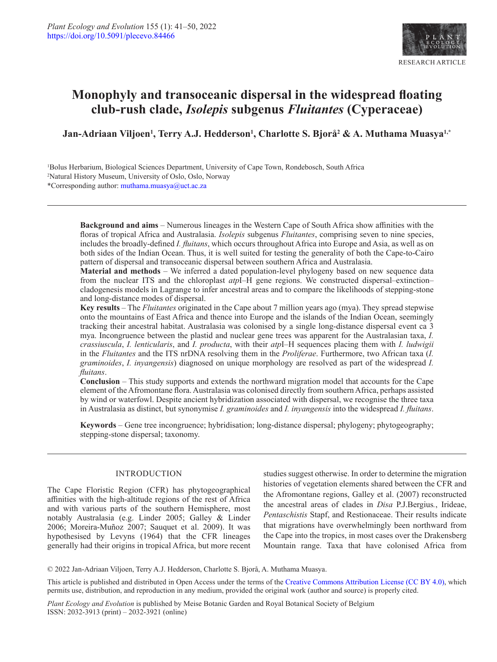

# **Monophyly and transoceanic dispersal in the widespread floating club-rush clade,** *Isolepis* **subgenus** *Fluitantes* **(Cyperaceae)**

Jan-Adriaan Viljoen<sup>1</sup>, Terry A.J. Hedderson<sup>1</sup>, Charlotte S. Bjorå<sup>2</sup> & A. Muthama Muasya<sup>1,\*</sup>

1 Bolus Herbarium, Biological Sciences Department, University of Cape Town, Rondebosch, South Africa 2 Natural History Museum, University of Oslo, Oslo, Norway \*Corresponding author: [muthama.muasya@uct.ac.za](mailto:muthama.muasya%40uct.ac.za?subject=)

> **Background and aims** – Numerous lineages in the Western Cape of South Africa show affinities with the floras of tropical Africa and Australasia. *Isolepis* subgenus *Fluitantes*, comprising seven to nine species, includes the broadly-defined *I. fluitans*, which occurs throughout Africa into Europe and Asia, as well as on both sides of the Indian Ocean. Thus, it is well suited for testing the generality of both the Cape-to-Cairo pattern of dispersal and transoceanic dispersal between southern Africa and Australasia.

> **Material and methods** – We inferred a dated population-level phylogeny based on new sequence data from the nuclear ITS and the chloroplast *atp*I–H gene regions. We constructed dispersal–extinction– cladogenesis models in Lagrange to infer ancestral areas and to compare the likelihoods of stepping-stone and long-distance modes of dispersal.

> **Key results** – The *Fluitantes* originated in the Cape about 7 million years ago (mya). They spread stepwise onto the mountains of East Africa and thence into Europe and the islands of the Indian Ocean, seemingly tracking their ancestral habitat. Australasia was colonised by a single long-distance dispersal event ca 3 mya. Incongruence between the plastid and nuclear gene trees was apparent for the Australasian taxa, *I. crassiuscula*, *I. lenticularis*, and *I. producta*, with their *atp*I–H sequences placing them with *I. ludwigii* in the *Fluitantes* and the ITS nrDNA resolving them in the *Proliferae*. Furthermore, two African taxa (*I. graminoides*, *I. inyangensis*) diagnosed on unique morphology are resolved as part of the widespread *I. fluitans*.

> **Conclusion** – This study supports and extends the northward migration model that accounts for the Cape element of the Afromontane flora. Australasia was colonised directly from southern Africa, perhaps assisted by wind or waterfowl. Despite ancient hybridization associated with dispersal, we recognise the three taxa in Australasia as distinct, but synonymise *I. graminoides* and *I. inyangensis* into the widespread *I. fluitans*.

> **Keywords** – Gene tree incongruence; hybridisation; long-distance dispersal; phylogeny; phytogeography; stepping-stone dispersal; taxonomy.

## INTRODUCTION

The Cape Floristic Region (CFR) has phytogeographical affinities with the high-altitude regions of the rest of Africa and with various parts of the southern Hemisphere, most notably Australasia (e.g. Linder 2005; Galley & Linder 2006; Moreira-Muñoz 2007; Sauquet et al. 2009). It was hypothesised by Levyns (1964) that the CFR lineages generally had their origins in tropical Africa, but more recent studies suggest otherwise. In order to determine the migration histories of vegetation elements shared between the CFR and the Afromontane regions, Galley et al. (2007) reconstructed the ancestral areas of clades in *Disa* P.J.Bergius*.*, Irideae, *Pentaschistis* Stapf, and Restionaceae. Their results indicate that migrations have overwhelmingly been northward from the Cape into the tropics, in most cases over the Drakensberg Mountain range. Taxa that have colonised Africa from

© 2022 Jan-Adriaan Viljoen, Terry A.J. Hedderson, Charlotte S. Bjorå, A. Muthama Muasya.

This article is published and distributed in Open Access under the terms of the [Creative Commons Attribution License \(CC BY 4.0\),](https://creativecommons.org/licenses/by/4.0/) which permits use, distribution, and reproduction in any medium, provided the original work (author and source) is properly cited.

*Plant Ecology and Evolution* is published by Meise Botanic Garden and Royal Botanical Society of Belgium ISSN: 2032-3913 (print) – 2032-3921 (online)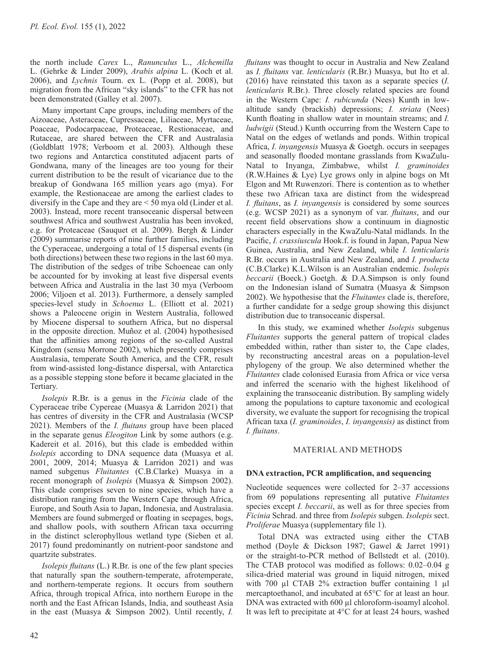the north include *Carex* L., *Ranunculus* L., *Alchemilla* L. (Gehrke & Linder 2009), *Arabis alpina* L. (Koch et al. 2006), and *Lychnis* Tourn. ex L*.* (Popp et al. 2008), but migration from the African "sky islands" to the CFR has not been demonstrated (Galley et al. 2007).

Many important Cape groups, including members of the Aizoaceae, Asteraceae, Cupressaceae, Liliaceae, Myrtaceae, Poaceae, Podocarpaceae, Proteaceae, Restionaceae, and Rutaceae, are shared between the CFR and Australasia (Goldblatt 1978; Verboom et al. 2003). Although these two regions and Antarctica constituted adjacent parts of Gondwana, many of the lineages are too young for their current distribution to be the result of vicariance due to the breakup of Gondwana 165 million years ago (mya). For example, the Restionaceae are among the earliest clades to diversify in the Cape and they are < 50 mya old (Linder et al. 2003). Instead, more recent transoceanic dispersal between southwest Africa and southwest Australia has been invoked, e.g. for Proteaceae (Sauquet et al. 2009). Bergh & Linder (2009) summarise reports of nine further families, including the Cyperaceae, undergoing a total of 15 dispersal events (in both directions) between these two regions in the last 60 mya. The distribution of the sedges of tribe Schoeneae can only be accounted for by invoking at least five dispersal events between Africa and Australia in the last 30 mya (Verboom 2006; Viljoen et al. 2013). Furthermore, a densely sampled species-level study in *Schoenus* L. (Elliott et al. 2021) shows a Paleocene origin in Western Australia, followed by Miocene dispersal to southern Africa, but no dispersal in the opposite direction. Muñoz et al. (2004) hypothesised that the affinities among regions of the so-called Austral Kingdom (sensu Morrone 2002), which presently comprises Australasia, temperate South America, and the CFR, result from wind-assisted long-distance dispersal, with Antarctica as a possible stepping stone before it became glaciated in the Tertiary.

*Isolepis* R.Br. is a genus in the *Ficinia* clade of the Cyperaceae tribe Cypereae (Muasya & Larridon 2021) that has centres of diversity in the CFR and Australasia (WCSP 2021). Members of the *I. fluitans* group have been placed in the separate genus *Eleogiton* Link by some authors (e.g. Kadereit et al. 2016), but this clade is embedded within *Isolepis* according to DNA sequence data (Muasya et al. 2001, 2009, 2014; Muasya & Larridon 2021) and was named subgenus *Fluitantes* (C.B.Clarke) Muasya in a recent monograph of *Isolepis* (Muasya & Simpson 2002). This clade comprises seven to nine species, which have a distribution ranging from the Western Cape through Africa, Europe, and South Asia to Japan, Indonesia, and Australasia. Members are found submerged or floating in seepages, bogs, and shallow pools, with southern African taxa occurring in the distinct sclerophyllous wetland type (Sieben et al. 2017) found predominantly on nutrient-poor sandstone and quartzite substrates.

*Isolepis fluitans* (L.) R.Br. is one of the few plant species that naturally span the southern-temperate, afrotemperate, and northern-temperate regions. It occurs from southern Africa, through tropical Africa, into northern Europe in the north and the East African Islands, India, and southeast Asia in the east (Muasya & Simpson 2002). Until recently, *I.* 

*fluitans* was thought to occur in Australia and New Zealand as *I. fluitans* var. *lenticularis* (R.Br.) Muasya, but Ito et al. (2016) have reinstated this taxon as a separate species (*I. lenticularis* R.Br.). Three closely related species are found in the Western Cape: *I. rubicunda* (Nees) Kunth in lowaltitude sandy (brackish) depressions; *I. striata* (Nees) Kunth floating in shallow water in mountain streams; and *I. ludwigii* (Steud.) Kunth occurring from the Western Cape to Natal on the edges of wetlands and ponds. Within tropical Africa, *I. inyangensis* Muasya & Goetgh. occurs in seepages and seasonally flooded montane grasslands from KwaZulu-Natal to Inyanga, Zimbabwe, whilst *I. graminoides* (R.W.Haines & Lye) Lye grows only in alpine bogs on Mt Elgon and Mt Ruwenzori. There is contention as to whether these two African taxa are distinct from the widespread *I. fluitans*, as *I. inyangensis* is considered by some sources (e.g. WCSP 2021) as a synonym of var. *fluitans*, and our recent field observations show a continuum in diagnostic characters especially in the KwaZulu-Natal midlands. In the Pacific, *I. crassiuscula* Hook.f. is found in Japan, Papua New Guinea, Australia, and New Zealand, while *I. lenticularis* R.Br. occurs in Australia and New Zealand, and *I. producta* (C.B.Clarke) K.L.Wilson is an Australian endemic. *Isolepis beccarii* (Boeck.) Goetgh. & D.A.Simpson is only found on the Indonesian island of Sumatra (Muasya & Simpson 2002). We hypothesise that the *Fluitantes* clade is, therefore, a further candidate for a sedge group showing this disjunct distribution due to transoceanic dispersal.

In this study, we examined whether *Isolepis* subgenus *Fluitantes* supports the general pattern of tropical clades embedded within, rather than sister to, the Cape clades, by reconstructing ancestral areas on a population-level phylogeny of the group. We also determined whether the *Fluitantes* clade colonised Eurasia from Africa or vice versa and inferred the scenario with the highest likelihood of explaining the transoceanic distribution. By sampling widely among the populations to capture taxonomic and ecological diversity, we evaluate the support for recognising the tropical African taxa (*I. graminoides*, *I. inyangensis)* as distinct from *I. fluitans*.

## MATERIAL AND METHODS

#### **DNA extraction, PCR amplification, and sequencing**

Nucleotide sequences were collected for 2–37 accessions from 69 populations representing all putative *Fluitantes* species except *I. beccarii*, as well as for three species from *Ficinia* Schrad. and three from *Isolepis* subgen. *Isolepis* sect. *Proliferae* Muasya (supplementary file 1).

Total DNA was extracted using either the CTAB method (Doyle & Dickson 1987; Gawel & Jarret 1991) or the straight-to-PCR method of Bellstedt et al. (2010). The CTAB protocol was modified as follows: 0.02–0.04 g silica-dried material was ground in liquid nitrogen, mixed with 700 µl CTAB 2% extraction buffer containing 1 µl mercaptoethanol, and incubated at 65°C for at least an hour. DNA was extracted with 600 µl chloroform-isoamyl alcohol. It was left to precipitate at 4°C for at least 24 hours, washed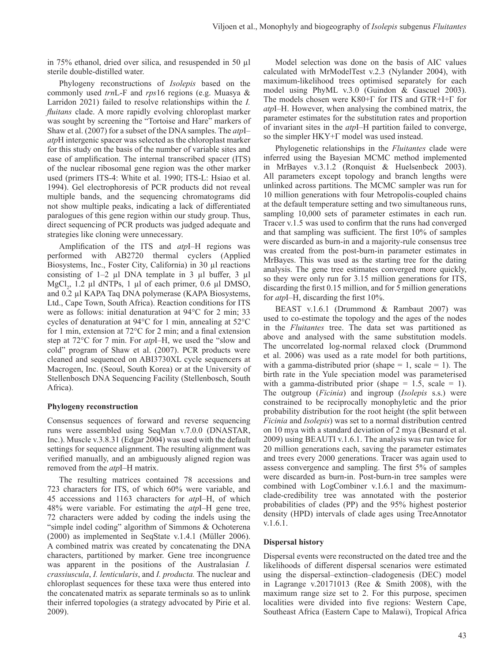in 75% ethanol, dried over silica, and resuspended in 50 µl sterile double-distilled water.

Phylogeny reconstructions of *Isolepis* based on the commonly used *trn*L-F and *rps*16 regions (e.g. Muasya & Larridon 2021) failed to resolve relationships within the *I. fluitans* clade. A more rapidly evolving chloroplast marker was sought by screening the "Tortoise and Hare" markers of Shaw et al. (2007) for a subset of the DNA samples. The *atp*I– *atp*H intergenic spacer was selected as the chloroplast marker for this study on the basis of the number of variable sites and ease of amplification. The internal transcribed spacer (ITS) of the nuclear ribosomal gene region was the other marker used (primers ITS-4: White et al. 1990; ITS-L: Hsiao et al. 1994). Gel electrophoresis of PCR products did not reveal multiple bands, and the sequencing chromatograms did not show multiple peaks, indicating a lack of differentiated paralogues of this gene region within our study group. Thus, direct sequencing of PCR products was judged adequate and strategies like cloning were unnecessary.

Amplification of the ITS and *atp*I–H regions was performed with AB2720 thermal cyclers (Applied Biosystems, Inc., Foster City, California) in 30 µl reactions consisting of  $1-2$  µl DNA template in 3 µl buffer, 3 µl MgCl<sub>2</sub>, 1.2 µl dNTPs, 1 µl of each primer, 0.6 µl DMSO, and 0.2 µl KAPA Taq DNA polymerase (KAPA Biosystems, Ltd., Cape Town, South Africa). Reaction conditions for ITS were as follows: initial denaturation at 94°C for 2 min; 33 cycles of denaturation at 94°C for 1 min, annealing at 52°C for 1 min, extension at 72°C for 2 min; and a final extension step at 72°C for 7 min. For *atp*I–H, we used the "slow and cold" program of Shaw et al. (2007). PCR products were cleaned and sequenced on ABI3730XL cycle sequencers at Macrogen, Inc. (Seoul, South Korea) or at the University of Stellenbosch DNA Sequencing Facility (Stellenbosch, South Africa).

## **Phylogeny reconstruction**

Consensus sequences of forward and reverse sequencing runs were assembled using SeqMan v.7.0.0 (DNASTAR, Inc.). Muscle v.3.8.31 (Edgar 2004) was used with the default settings for sequence alignment. The resulting alignment was verified manually, and an ambiguously aligned region was removed from the *atp*I–H matrix.

The resulting matrices contained 78 accessions and 723 characters for ITS, of which 60% were variable, and 45 accessions and 1163 characters for *atp*I–H, of which 48% were variable. For estimating the *atp*I–H gene tree, 72 characters were added by coding the indels using the "simple indel coding" algorithm of Simmons & Ochoterena (2000) as implemented in SeqState v.1.4.1 (Müller 2006). A combined matrix was created by concatenating the DNA characters, partitioned by marker. Gene tree incongruence was apparent in the positions of the Australasian *I. crassiuscula*, *I. lenticularis*, and *I. producta.* The nuclear and chloroplast sequences for these taxa were thus entered into the concatenated matrix as separate terminals so as to unlink their inferred topologies (a strategy advocated by Pirie et al. 2009).

Model selection was done on the basis of AIC values calculated with MrModelTest v.2.3 (Nylander 2004), with maximum-likelihood trees optimised separately for each model using PhyML v.3.0 (Guindon & Gascuel 2003). The models chosen were K80+Γ for ITS and GTR+I+Γ for *atp*I–H. However, when analysing the combined matrix, the parameter estimates for the substitution rates and proportion of invariant sites in the *atp*I–H partition failed to converge, so the simpler HKY+Γ model was used instead.

Phylogenetic relationships in the *Fluitantes* clade were inferred using the Bayesian MCMC method implemented in MrBayes v.3.1.2 (Ronquist & Huelsenbeck 2003). All parameters except topology and branch lengths were unlinked across partitions. The MCMC sampler was run for 10 million generations with four Metropolis-coupled chains at the default temperature setting and two simultaneous runs, sampling 10,000 sets of parameter estimates in each run. Tracer v.1.5 was used to confirm that the runs had converged and that sampling was sufficient. The first 10% of samples were discarded as burn-in and a majority-rule consensus tree was created from the post-burn-in parameter estimates in MrBayes. This was used as the starting tree for the dating analysis. The gene tree estimates converged more quickly, so they were only run for 3.15 million generations for ITS, discarding the first 0.15 million, and for 5 million generations for *atp*I–H, discarding the first 10%.

BEAST v.1.6.1 (Drummond & Rambaut 2007) was used to co-estimate the topology and the ages of the nodes in the *Fluitantes* tree. The data set was partitioned as above and analysed with the same substitution models. The uncorrelated log-normal relaxed clock (Drummond et al. 2006) was used as a rate model for both partitions, with a gamma-distributed prior (shape  $= 1$ , scale  $= 1$ ). The birth rate in the Yule speciation model was parameterised with a gamma-distributed prior (shape  $= 1.5$ , scale  $= 1$ ). The outgroup (*Ficinia*) and ingroup (*Isolepis* s.s.) were constrained to be reciprocally monophyletic and the prior probability distribution for the root height (the split between *Ficinia* and *Isolepis*) was set to a normal distribution centred on 10 mya with a standard deviation of 2 mya (Besnard et al. 2009) using BEAUTI v.1.6.1. The analysis was run twice for 20 million generations each, saving the parameter estimates and trees every 2000 generations. Tracer was again used to assess convergence and sampling. The first 5% of samples were discarded as burn-in. Post-burn-in tree samples were combined with LogCombiner v.1.6.1 and the maximumclade-credibility tree was annotated with the posterior probabilities of clades (PP) and the 95% highest posterior density (HPD) intervals of clade ages using TreeAnnotator v.1.6.1.

# **Dispersal history**

Dispersal events were reconstructed on the dated tree and the likelihoods of different dispersal scenarios were estimated using the dispersal–extinction–cladogenesis (DEC) model in Lagrange v.20171013 (Ree & Smith 2008), with the maximum range size set to 2. For this purpose, specimen localities were divided into five regions: Western Cape, Southeast Africa (Eastern Cape to Malawi), Tropical Africa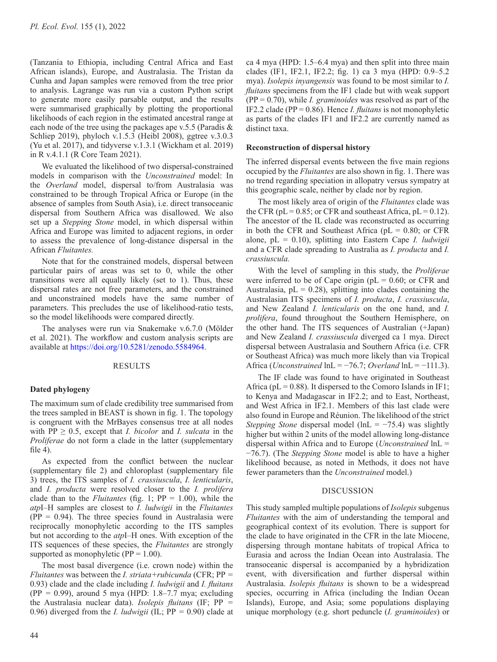(Tanzania to Ethiopia, including Central Africa and East African islands), Europe, and Australasia. The Tristan da Cunha and Japan samples were removed from the tree prior to analysis. Lagrange was run via a custom Python script to generate more easily parsable output, and the results were summarised graphically by plotting the proportional likelihoods of each region in the estimated ancestral range at each node of the tree using the packages ape v.5.5 (Paradis & Schliep 2019), phyloch v.1.5.3 (Heibl 2008), ggtree v.3.0.3 (Yu et al. 2017), and tidyverse v.1.3.1 (Wickham et al. 2019) in R v.4.1.1 (R Core Team 2021).

We evaluated the likelihood of two dispersal-constrained models in comparison with the *Unconstrained* model: In the *Overland* model, dispersal to/from Australasia was constrained to be through Tropical Africa or Europe (in the absence of samples from South Asia), i.e. direct transoceanic dispersal from Southern Africa was disallowed. We also set up a *Stepping Stone* model, in which dispersal within Africa and Europe was limited to adjacent regions, in order to assess the prevalence of long-distance dispersal in the African *Fluitantes.*

Note that for the constrained models, dispersal between particular pairs of areas was set to 0, while the other transitions were all equally likely (set to 1). Thus, these dispersal rates are not free parameters, and the constrained and unconstrained models have the same number of parameters. This precludes the use of likelihood-ratio tests, so the model likelihoods were compared directly.

The analyses were run via Snakemake v.6.7.0 (Mölder et al. 2021). The workflow and custom analysis scripts are available at [https://doi.org/10.5281/zenodo.5584964.](https://doi.org/10.5281/zenodo.5584964)

## RESULTS

## **Dated phylogeny**

The maximum sum of clade credibility tree summarised from the trees sampled in BEAST is shown in fig. 1. The topology is congruent with the MrBayes consensus tree at all nodes with  $PP \geq 0.5$ , except that *I. bicolor* and *I. sulcata* in the *Proliferae* do not form a clade in the latter (supplementary file 4).

As expected from the conflict between the nuclear (supplementary file 2) and chloroplast (supplementary file 3) trees, the ITS samples of *I. crassiuscula*, *I. lenticularis*, and *I. producta* were resolved closer to the *I. prolifera* clade than to the *Fluitantes* (fig. 1;  $PP = 1.00$ ), while the *atp*I–H samples are closest to *I. ludwigii* in the *Fluitantes*  $(PP = 0.94)$ . The three species found in Australasia were reciprocally monophyletic according to the ITS samples but not according to the *atp*I–H ones. With exception of the ITS sequences of these species, the *Fluitantes* are strongly supported as monophyletic ( $PP = 1.00$ ).

The most basal divergence (i.e. crown node) within the *Fluitantes* was between the *I. striata+rubicunda* (CFR; PP *=* 0.93) clade and the clade including *I. ludwigii* and *I. fluitans*  (PP *=* 0.99), around 5 mya (HPD: 1.8–7.7 mya; excluding the Australasia nuclear data). *Isolepis fluitans* (IF; PP *=* 0.96) diverged from the *I. ludwigii* (IL; PP *=* 0.90) clade at ca 4 mya (HPD: 1.5–6.4 mya) and then split into three main clades (IF1, IF2.1, IF2.2; fig. 1) ca 3 mya (HPD: 0.9–5.2 mya). *Isolepis inyangensis* was found to be most similar to *I. fluitans* specimens from the IF1 clade but with weak support (PP = 0.70), while *I. graminoides* was resolved as part of the IF2.2 clade (PP = 0.86). Hence *I. fluitans* is not monophyletic as parts of the clades IF1 and IF2.2 are currently named as distinct taxa.

#### **Reconstruction of dispersal history**

The inferred dispersal events between the five main regions occupied by the *Fluitantes* are also shown in fig. 1. There was no trend regarding speciation in allopatry versus sympatry at this geographic scale, neither by clade nor by region.

The most likely area of origin of the *Fluitantes* clade was the CFR ( $pL = 0.85$ ; or CFR and southeast Africa,  $pL = 0.12$ ). The ancestor of the IL clade was reconstructed as occurring in both the CFR and Southeast Africa ( $pL = 0.80$ ; or CFR alone, pL = 0.10), splitting into Eastern Cape *I. ludwigii* and a CFR clade spreading to Australia as *I. producta* and *I. crassiuscula.*

With the level of sampling in this study, the *Proliferae* were inferred to be of Cape origin ( $pL = 0.60$ ; or CFR and Australasia,  $pL = 0.28$ ), splitting into clades containing the Australasian ITS specimens of *I. producta*, *I. crassiuscula*, and New Zealand *I. lenticularis* on the one hand, and *I. prolifera*, found throughout the Southern Hemisphere, on the other hand. The ITS sequences of Australian (+Japan) and New Zealand *I. crassiuscula* diverged ca 1 mya. Direct dispersal between Australasia and Southern Africa (i.e. CFR or Southeast Africa) was much more likely than via Tropical Africa (*Unconstrained* lnL = −76.7; *Overland* lnL = −111.3).

The IF clade was found to have originated in Southeast Africa ( $pL = 0.88$ ). It dispersed to the Comoro Islands in IF1; to Kenya and Madagascar in IF2.2; and to East, Northeast, and West Africa in IF2.1. Members of this last clade were also found in Europe and Réunion. The likelihood of the strict *Stepping Stone* dispersal model (lnL = −75.4) was slightly higher but within 2 units of the model allowing long-distance dispersal within Africa and to Europe (*Unconstrained* lnL = −76.7). (The *Stepping Stone* model is able to have a higher likelihood because, as noted in Methods, it does not have fewer parameters than the *Unconstrained* model.)

#### DISCUSSION

This study sampled multiple populations of *Isolepis* subgenus *Fluitantes* with the aim of understanding the temporal and geographical context of its evolution. There is support for the clade to have originated in the CFR in the late Miocene, dispersing through montane habitats of tropical Africa to Eurasia and across the Indian Ocean into Australasia. The transoceanic dispersal is accompanied by a hybridization event, with diversification and further dispersal within Australasia. *Isolepis fluitans* is shown to be a widespread species, occurring in Africa (including the Indian Ocean Islands), Europe, and Asia; some populations displaying unique morphology (e.g. short peduncle (*I. graminoides*) or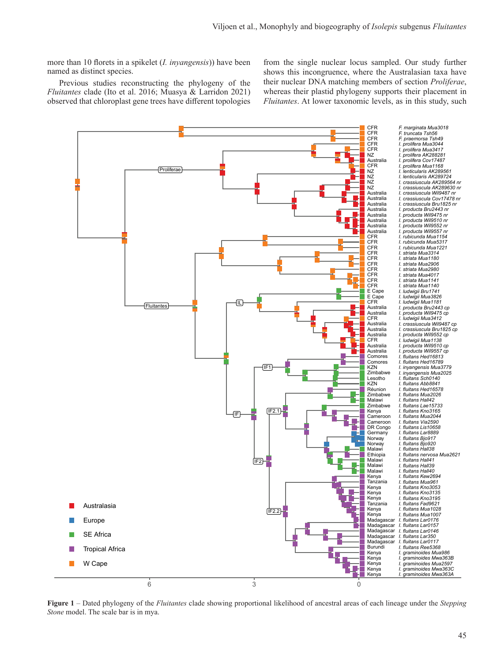more than 10 florets in a spikelet (*I. inyangensis*)) have been named as distinct species.

Previous studies reconstructing the phylogeny of the *Fluitantes* clade (Ito et al. 2016; Muasya & Larridon 2021) observed that chloroplast gene trees have different topologies from the single nuclear locus sampled. Our study further shows this incongruence, where the Australasian taxa have their nuclear DNA matching members of section *Proliferae*, whereas their plastid phylogeny supports their placement in *Fluitantes*. At lower taxonomic levels, as in this study, such



**Figure 1** – Dated phylogeny of the *Fluitantes* clade showing proportional likelihood of ancestral areas of each lineage under the *Stepping Stone* model. The scale bar is in mya.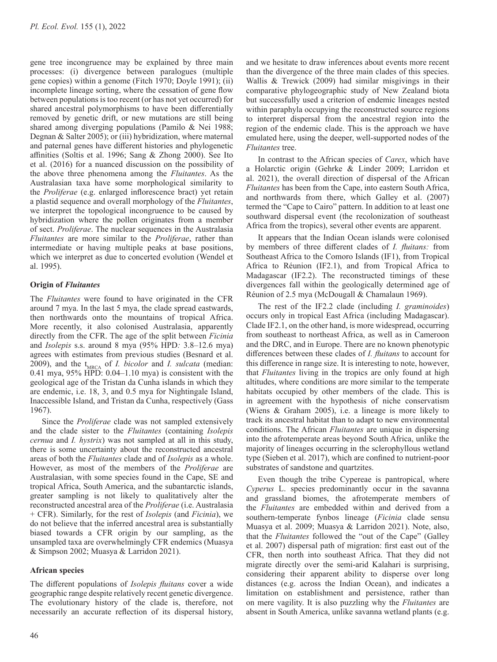gene tree incongruence may be explained by three main processes: (i) divergence between paralogues (multiple gene copies) within a genome (Fitch 1970; Doyle 1991); (ii) incomplete lineage sorting, where the cessation of gene flow between populations is too recent (or has not yet occurred) for shared ancestral polymorphisms to have been differentially removed by genetic drift, or new mutations are still being shared among diverging populations (Pamilo & Nei 1988; Degnan & Salter 2005); or (iii) hybridization, where maternal and paternal genes have different histories and phylogenetic affinities (Soltis et al. 1996; Sang & Zhong 2000). See Ito et al. (2016) for a nuanced discussion on the possibility of the above three phenomena among the *Fluitantes*. As the Australasian taxa have some morphological similarity to the *Proliferae* (e.g. enlarged inflorescence bract) yet retain a plastid sequence and overall morphology of the *Fluitantes*, we interpret the topological incongruence to be caused by hybridization where the pollen originates from a member of sect. *Proliferae*. The nuclear sequences in the Australasia *Fluitantes* are more similar to the *Proliferae*, rather than intermediate or having multiple peaks at base positions, which we interpret as due to concerted evolution (Wendel et al. 1995).

# **Origin of** *Fluitantes*

The *Fluitantes* were found to have originated in the CFR around 7 mya. In the last 5 mya, the clade spread eastwards, then northwards onto the mountains of tropical Africa. More recently, it also colonised Australasia, apparently directly from the CFR. The age of the split between *Ficinia* and *Isolepis* s.s. around 8 mya (95% HPD*:* 3.8–12.6 mya) agrees with estimates from previous studies (Besnard et al. 2009), and the  $t_{MRCA}$  of *I. bicolor* and *I. sulcata* (median: 0.41 mya, 95% HPD: 0.04–1.10 mya) is consistent with the geological age of the Tristan da Cunha islands in which they are endemic, i.e. 18, 3, and 0.5 mya for Nightingale Island, Inaccessible Island, and Tristan da Cunha, respectively (Gass 1967).

Since the *Proliferae* clade was not sampled extensively and the clade sister to the *Fluitantes* (containing *Isolepis cernua* and *I. hystrix*) was not sampled at all in this study, there is some uncertainty about the reconstructed ancestral areas of both the *Fluitantes* clade and of *Isolepis* as a whole. However, as most of the members of the *Proliferae* are Australasian, with some species found in the Cape, SE and tropical Africa, South America, and the subantarctic islands, greater sampling is not likely to qualitatively alter the reconstructed ancestral area of the *Proliferae* (i.e. Australasia + CFR). Similarly, for the rest of *Isolepis* (and *Ficinia*), we do not believe that the inferred ancestral area is substantially biased towards a CFR origin by our sampling, as the unsampled taxa are overwhelmingly CFR endemics (Muasya & Simpson 2002; Muasya & Larridon 2021).

## **African species**

The different populations of *Isolepis fluitans* cover a wide geographic range despite relatively recent genetic divergence. The evolutionary history of the clade is, therefore, not necessarily an accurate reflection of its dispersal history,

and we hesitate to draw inferences about events more recent than the divergence of the three main clades of this species. Wallis & Trewick (2009) had similar misgivings in their comparative phylogeographic study of New Zealand biota but successfully used a criterion of endemic lineages nested within paraphyla occupying the reconstructed source regions to interpret dispersal from the ancestral region into the region of the endemic clade. This is the approach we have emulated here, using the deeper, well-supported nodes of the *Fluitantes* tree.

In contrast to the African species of *Carex*, which have a Holarctic origin (Gehrke & Linder 2009; Larridon et al. 2021), the overall direction of dispersal of the African *Fluitantes* has been from the Cape, into eastern South Africa, and northwards from there, which Galley et al. (2007) termed the "Cape to Cairo" pattern. In addition to at least one southward dispersal event (the recolonization of southeast Africa from the tropics), several other events are apparent.

It appears that the Indian Ocean islands were colonised by members of three different clades of *I. fluitans:* from Southeast Africa to the Comoro Islands (IF1), from Tropical Africa to Réunion (IF2.1), and from Tropical Africa to Madagascar (IF2.2). The reconstructed timings of these divergences fall within the geologically determined age of Réunion of 2.5 mya (McDougall & Chamalaun 1969).

The rest of the IF2.2 clade (including *I. graminoides*) occurs only in tropical East Africa (including Madagascar). Clade IF2.1, on the other hand, is more widespread, occurring from southeast to northeast Africa, as well as in Cameroon and the DRC, and in Europe. There are no known phenotypic differences between these clades of *I. fluitans* to account for this difference in range size. It is interesting to note, however, that *Fluitantes* living in the tropics are only found at high altitudes, where conditions are more similar to the temperate habitats occupied by other members of the clade. This is in agreement with the hypothesis of niche conservatism (Wiens & Graham 2005), i.e. a lineage is more likely to track its ancestral habitat than to adapt to new environmental conditions. The African *Fluitantes* are unique in dispersing into the afrotemperate areas beyond South Africa, unlike the majority of lineages occurring in the sclerophyllous wetland type (Sieben et al. 2017), which are confined to nutrient-poor substrates of sandstone and quartzites.

Even though the tribe Cypereae is pantropical, where *Cyperus* L. species predominantly occur in the savanna and grassland biomes, the afrotemperate members of the *Fluitantes* are embedded within and derived from a southern-temperate fynbos lineage (*Ficinia* clade sensu Muasya et al. 2009; Muasya & Larridon 2021). Note, also, that the *Fluitantes* followed the "out of the Cape" (Galley et al. 2007) dispersal path of migration: first east out of the CFR, then north into southeast Africa. That they did not migrate directly over the semi-arid Kalahari is surprising, considering their apparent ability to disperse over long distances (e.g. across the Indian Ocean), and indicates a limitation on establishment and persistence, rather than on mere vagility. It is also puzzling why the *Fluitantes* are absent in South America, unlike savanna wetland plants (e.g.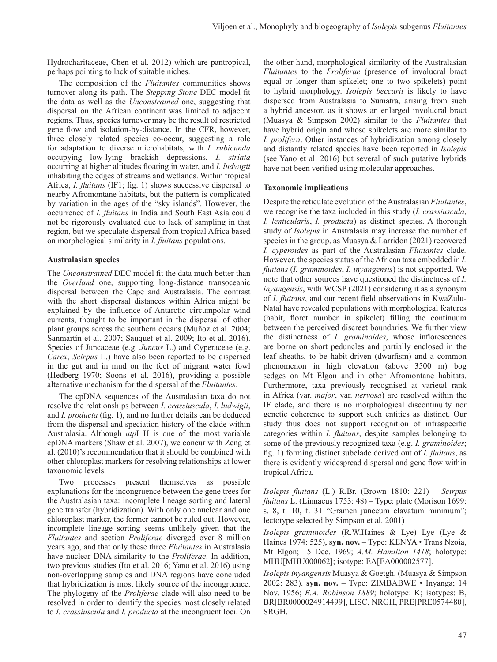Hydrocharitaceae, Chen et al. 2012) which are pantropical, perhaps pointing to lack of suitable niches.

The composition of the *Fluitantes* communities shows turnover along its path. The *Stepping Stone* DEC model fit the data as well as the *Unconstrained* one, suggesting that dispersal on the African continent was limited to adjacent regions. Thus, species turnover may be the result of restricted gene flow and isolation-by-distance. In the CFR, however, three closely related species co-occur, suggesting a role for adaptation to diverse microhabitats, with *I. rubicunda* occupying low-lying brackish depressions, *I. striata*  occurring at higher altitudes floating in water, and *I. ludwigii* inhabiting the edges of streams and wetlands. Within tropical Africa, *I. fluitans* (IF1; fig. 1) shows successive dispersal to nearby Afromontane habitats, but the pattern is complicated by variation in the ages of the "sky islands". However, the occurrence of *I. fluitans* in India and South East Asia could not be rigorously evaluated due to lack of sampling in that region, but we speculate dispersal from tropical Africa based on morphological similarity in *I. fluitans* populations.

# **Australasian species**

The *Unconstrained* DEC model fit the data much better than the *Overland* one, supporting long-distance transoceanic dispersal between the Cape and Australasia. The contrast with the short dispersal distances within Africa might be explained by the influence of Antarctic circumpolar wind currents, thought to be important in the dispersal of other plant groups across the southern oceans (Muñoz et al. 2004; Sanmartín et al. 2007; Sauquet et al. 2009; Ito et al. 2016). Species of Juncaceae (e.g. *Juncus* L.) and Cyperaceae (e.g. *Carex*, *Scirpus* L.) have also been reported to be dispersed in the gut and in mud on the feet of migrant water fowl (Hedberg 1970; Soons et al. 2016), providing a possible alternative mechanism for the dispersal of the *Fluitantes*.

The cpDNA sequences of the Australasian taxa do not resolve the relationships between *I. crassiuscula*, *I. ludwigii*, and *I. producta* (fig. 1), and no further details can be deduced from the dispersal and speciation history of the clade within Australasia. Although *atp*I–H is one of the most variable cpDNA markers (Shaw et al. 2007), we concur with Zeng et al. (2010)'s recommendation that it should be combined with other chloroplast markers for resolving relationships at lower taxonomic levels.

Two processes present themselves as possible explanations for the incongruence between the gene trees for the Australasian taxa: incomplete lineage sorting and lateral gene transfer (hybridization). With only one nuclear and one chloroplast marker, the former cannot be ruled out. However, incomplete lineage sorting seems unlikely given that the *Fluitantes* and section *Proliferae* diverged over 8 million years ago, and that only these three *Fluitantes* in Australasia have nuclear DNA similarity to the *Proliferae*. In addition, two previous studies (Ito et al. 2016; Yano et al. 2016) using non-overlapping samples and DNA regions have concluded that hybridization is most likely source of the incongruence. The phylogeny of the *Proliferae* clade will also need to be resolved in order to identify the species most closely related to *I. crassiuscula* and *I. producta* at the incongruent loci. On the other hand, morphological similarity of the Australasian *Fluitantes* to the *Proliferae* (presence of involucral bract equal or longer than spikelet; one to two spikelets) point to hybrid morphology. *Isolepis beccarii* is likely to have dispersed from Australasia to Sumatra, arising from such a hybrid ancestor, as it shows an enlarged involucral bract (Muasya & Simpson 2002) similar to the *Fluitantes* that have hybrid origin and whose spikelets are more similar to *I. prolifera*. Other instances of hybridization among closely and distantly related species have been reported in *Isolepis* (see Yano et al. 2016) but several of such putative hybrids have not been verified using molecular approaches.

# **Taxonomic implications**

Despite the reticulate evolution of the Australasian *Fluitantes*, we recognise the taxa included in this study (*I. crassiuscula*, *I. lenticularis*, *I. producta*) as distinct species. A thorough study of *Isolepis* in Australasia may increase the number of species in the group, as Muasya & Larridon (2021) recovered *I. cyperoides* as part of the Australasian *Fluitantes* clade*.*  However, the species status of the African taxa embedded in *I. fluitans* (*I. graminoides*, *I. inyangensis*) is not supported. We note that other sources have questioned the distinctness of *I. inyangensis*, with WCSP (2021) considering it as a synonym of *I. fluitans*, and our recent field observations in KwaZulu-Natal have revealed populations with morphological features (habit, floret number in spikelet) filling the continuum between the perceived discreet boundaries. We further view the distinctness of *I. graminoides*, whose inflorescences are borne on short peduncles and partially enclosed in the leaf sheaths, to be habit-driven (dwarfism) and a common phenomenon in high elevation (above 3500 m) bog sedges on Mt Elgon and in other Afromontane habitats. Furthermore, taxa previously recognised at varietal rank in Africa (var. *major*, var. *nervosa*) are resolved within the IF clade, and there is no morphological discontinuity nor genetic coherence to support such entities as distinct. Our study thus does not support recognition of infraspecific categories within *I. fluitans*, despite samples belonging to some of the previously recognized taxa (e.g. *I. graminoides*; fig. 1) forming distinct subclade derived out of *I. fluitans*, as there is evidently widespread dispersal and gene flow within tropical Africa*.*

*Isolepis fluitans* (L.) R.Br. (Brown 1810: 221) – *Scirpus fluitans* L. (Linnaeus 1753: 48) – Type: plate (Morison 1699: s. 8, t. 10, f. 31 "Gramen junceum clavatum minimum"; lectotype selected by Simpson et al. 2001)

*Isolepis graminoides* (R.W.Haines & Lye) Lye (Lye & Haines 1974: 525), **syn. nov.** – Type: KENYA • Trans Nzoia, Mt Elgon; 15 Dec. 1969; *A.M. Hamilton 1418*; holotype: MHU[MHU000062]; isotype: EA[EA000002577].

*Isolepis inyangensis* Muasya & Goetgh. (Muasya & Simpson 2002: 283). **syn. nov.** – Type: ZIMBABWE • Inyanga; 14 Nov. 1956; *E.A. Robinson 1889*; holotype: K; isotypes: B, BR[BR0000024914499], LISC, NRGH, PRE[PRE0574480], SRGH.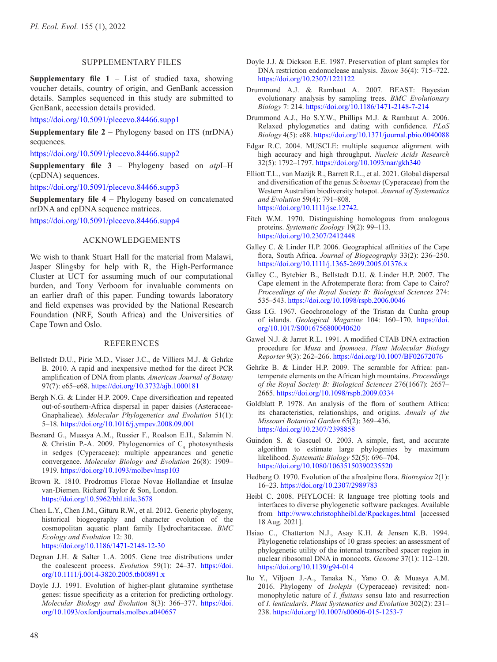## SUPPLEMENTARY FILES

**Supplementary file 1** – List of studied taxa, showing voucher details, country of origin, and GenBank accession details. Samples sequenced in this study are submitted to GenBank, accession details provided.

<https://doi.org/10.5091/plecevo.84466.supp1>

**Supplementary file 2** – Phylogeny based on ITS (nrDNA) sequences.

<https://doi.org/10.5091/plecevo.84466.supp2>

**Supplementary file 3** – Phylogeny based on *atp*I–H (cpDNA) sequences.

<https://doi.org/10.5091/plecevo.84466.supp3>

**Supplementary file 4** – Phylogeny based on concatenated nrDNA and cpDNA sequence matrices.

<https://doi.org/10.5091/plecevo.84466.supp4>

## ACKNOWLEDGEMENTS

We wish to thank Stuart Hall for the material from Malawi, Jasper Slingsby for help with R, the High-Performance Cluster at UCT for assuming much of our computational burden, and Tony Verboom for invaluable comments on an earlier draft of this paper. Funding towards laboratory and field expenses was provided by the National Research Foundation (NRF, South Africa) and the Universities of Cape Town and Oslo.

#### REFERENCES

- Bellstedt D.U., Pirie M.D., Visser J.C., de Villiers M.J. & Gehrke B. 2010. A rapid and inexpensive method for the direct PCR amplification of DNA from plants. *American Journal of Botany* 97(7): e65–e68.<https://doi.org/10.3732/ajb.1000181>
- Bergh N.G. & Linder H.P. 2009. Cape diversification and repeated out-of-southern-Africa dispersal in paper daisies (Asteraceae-Gnaphalieae). *Molecular Phylogenetics and Evolution* 51(1): 5–18. <https://doi.org/10.1016/j.ympev.2008.09.001>
- Besnard G., Muasya A.M., Russier F., Roalson E.H., Salamin N. & Christin P.-A. 2009. Phylogenomics of  $C_4$  photosynthesis in sedges (Cyperaceae): multiple appearances and genetic convergence. *Molecular Biology and Evolution* 26(8): 1909– 1919. <https://doi.org/10.1093/molbev/msp103>
- Brown R. 1810. Prodromus Florae Novae Hollandiae et Insulae van-Diemen. Richard Taylor & Son, London. <https://doi.org/10.5962/bhl.title.3678>
- Chen L.Y., Chen J.M., Gituru R.W., et al. 2012. Generic phylogeny, historical biogeography and character evolution of the cosmopolitan aquatic plant family Hydrocharitaceae. *BMC Ecology and Evolution* 12: 30. <https://doi.org/10.1186/1471-2148-12-30>
- Degnan J.H. & Salter L.A. 2005. Gene tree distributions under the coalescent process. *Evolution* 59(1): 24–37. [https://doi.](https://doi.org/10.1111/j.0014-3820.2005.tb00891.x) [org/10.1111/j.0014-3820.2005.tb00891.x](https://doi.org/10.1111/j.0014-3820.2005.tb00891.x)
- Doyle J.J. 1991. Evolution of higher-plant glutamine synthetase genes: tissue specificity as a criterion for predicting orthology. *Molecular Biology and Evolution* 8(3): 366–377. [https://doi.](https://doi.org/10.1093/oxfordjournals.molbev.a040657) [org/10.1093/oxfordjournals.molbev.a040657](https://doi.org/10.1093/oxfordjournals.molbev.a040657)
- Doyle J.J. & Dickson E.E. 1987. Preservation of plant samples for DNA restriction endonuclease analysis. *Taxon* 36(4): 715–722. <https://doi.org/10.2307/1221122>
- Drummond A.J. & Rambaut A. 2007. BEAST: Bayesian evolutionary analysis by sampling trees. *BMC Evolutionary Biology* 7: 214. <https://doi.org/10.1186/1471-2148-7-214>
- Drummond A.J., Ho S.Y.W., Phillips M.J. & Rambaut A. 2006. Relaxed phylogenetics and dating with confidence. *PLoS Biology* 4(5): e88.<https://doi.org/10.1371/journal.pbio.0040088>
- Edgar R.C. 2004. MUSCLE: multiple sequence alignment with high accuracy and high throughput. *Nucleic Acids Research* 32(5): 1792–1797. <https://doi.org/10.1093/nar/gkh340>
- Elliott T.L., van Mazijk R., Barrett R.L., et al. 2021. Global dispersal and diversification of the genus *Schoenus* (Cyperaceae) from the Western Australian biodiversity hotspot. *Journal of Systematics and Evolution* 59(4): 791–808. [https://doi.org/10.1111/jse.12742.](https://doi.org/10.1111/jse.12742)
- Fitch W.M. 1970. Distinguishing homologous from analogous proteins. *Systematic Zoology* 19(2): 99–113. <https://doi.org/10.2307/2412448>
- Galley C. & Linder H.P. 2006. Geographical affinities of the Cape flora, South Africa. *Journal of Biogeography* 33(2): 236–250. <https://doi.org/10.1111/j.1365-2699.2005.01376.x>
- Galley C., Bytebier B., Bellstedt D.U. & Linder H.P. 2007. The Cape element in the Afrotemperate flora: from Cape to Cairo? *Proceedings of the Royal Society B: Biological Sciences* 274: 535–543.<https://doi.org/10.1098/rspb.2006.0046>
- Gass I.G. 1967. Geochronology of the Tristan da Cunha group of islands. *Geological Magazine* 104: 160–170. [https://doi.](https://doi.org/10.1017/S0016756800040620) [org/10.1017/S0016756800040620](https://doi.org/10.1017/S0016756800040620)
- Gawel N.J. & Jarret R.L. 1991. A modified CTAB DNA extraction procedure for *Musa* and *Ipomoea*. *Plant Molecular Biology Reporter* 9(3): 262–266.<https://doi.org/10.1007/BF02672076>
- Gehrke B. & Linder H.P. 2009. The scramble for Africa: pantemperate elements on the African high mountains. *Proceedings of the Royal Society B: Biological Sciences* 276(1667): 2657– 2665. <https://doi.org/10.1098/rspb.2009.0334>
- Goldblatt P. 1978. An analysis of the flora of southern Africa: its characteristics, relationships, and origins. *Annals of the Missouri Botanical Garden* 65(2): 369–436. <https://doi.org/10.2307/2398858>
- Guindon S. & Gascuel O. 2003. A simple, fast, and accurate algorithm to estimate large phylogenies by maximum likelihood. *Systematic Biology* 52(5): 696–704. <https://doi.org/10.1080/10635150390235520>
- Hedberg O. 1970. Evolution of the afroalpine flora. *Biotropica* 2(1): 16–23.<https://doi.org/10.2307/2989783>
- Heibl C. 2008. PHYLOCH: R language tree plotting tools and interfaces to diverse phylogenetic software packages. Available from <http://www.christophheibl.de/Rpackages.html>[accessed 18 Aug. 2021].
- Hsiao C., Chatterton N.J., Asay K.H. & Jensen K.B. 1994. Phylogenetic relationships of 10 grass species: an assessment of phylogenetic utility of the internal transcribed spacer region in nuclear ribosomal DNA in monocots. *Genome* 37(1): 112–120. <https://doi.org/10.1139/g94-014>
- Ito Y., Viljoen J.-A., Tanaka N., Yano O. & Muasya A.M. 2016. Phylogeny of *Isolepis* (Cyperaceae) revisited: nonmonophyletic nature of *I. fluitans* sensu lato and resurrection of *I. lenticularis*. *Plant Systematics and Evolution* 302(2): 231– 238.<https://doi.org/10.1007/s00606-015-1253-7>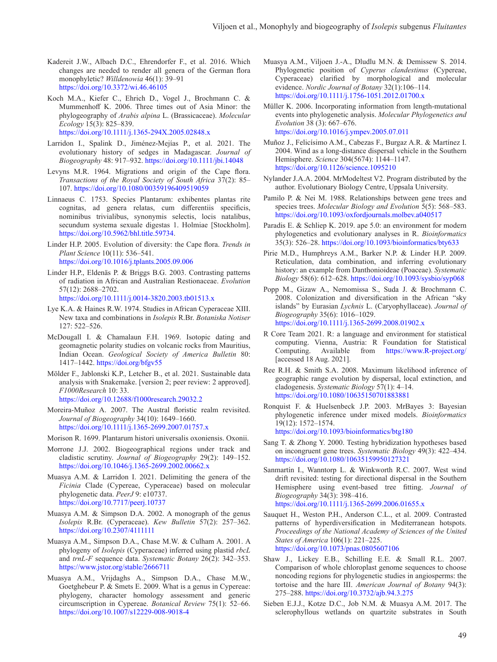- Kadereit J.W., Albach D.C., Ehrendorfer F., et al. 2016. Which changes are needed to render all genera of the German flora monophyletic? *Willdenowia* 46(1): 39–91 <https://doi.org/10.3372/wi.46.46105>
- Koch M.A., Kiefer C., Ehrich D., Vogel J., Brochmann C. & Mummenhoff K. 2006. Three times out of Asia Minor: the phylogeography of *Arabis alpina* L. (Brassicaceae). *Molecular Ecology* 15(3): 825–839. <https://doi.org/10.1111/j.1365-294X.2005.02848.x>
- Larridon I., Spalink D., Jiménez-Mejías P., et al. 2021. The evolutionary history of sedges in Madagascar. *Journal of Biogeography* 48: 917–932. <https://doi.org/10.1111/jbi.14048>
- Levyns M.R. 1964. Migrations and origin of the Cape flora. *Transactions of the Royal Society of South Africa* 37(2): 85– 107. <https://doi.org/10.1080/00359196409519059>
- Linnaeus C. 1753. Species Plantarum: exhibentes plantas rite cognitas, ad genera relatas, cum differentiis specificis, nominibus trivialibus, synonymis selectis, locis natalibus, secundum systema sexuale digestas 1. Holmiae [Stockholm]. <https://doi.org/10.5962/bhl.title.59734>.

Linder H.P. 2005. Evolution of diversity: the Cape flora. *Trends in Plant Science* 10(11): 536–541. <https://doi.org/10.1016/j.tplants.2005.09.006>

- Linder H.P., Eldenäs P. & Briggs B.G. 2003. Contrasting patterns of radiation in African and Australian Restionaceae. *Evolution* 57(12): 2688–2702. <https://doi.org/10.1111/j.0014-3820.2003.tb01513.x>
- Lye K.A. & Haines R.W. 1974. Studies in African Cyperaceae XIII. New taxa and combinations in *Isolepis* R.Br. *Botaniska Notiser*  127: 522–526.
- McDougall I. & Chamalaun F.H. 1969. Isotopic dating and geomagnetic polarity studies on volcanic rocks from Mauritius, Indian Ocean. *Geological Society of America Bulletin* 80: 1417–1442. <https://doi.org/bfgv55>
- Mölder F., Jablonski K.P., Letcher B., et al. 2021. Sustainable data analysis with Snakemake. [version 2; peer review: 2 approved]. *F1000Research* 10: 33. <https://doi.org/10.12688/f1000research.29032.2>
- Moreira-Muñoz A. 2007. The Austral floristic realm revisited. *Journal of Biogeography* 34(10): 1649–1660. <https://doi.org/10.1111/j.1365-2699.2007.01757.x>
- Morison R. 1699. Plantarum histori universalis oxoniensis. Oxonii.
- Morrone J.J. 2002. Biogeographical regions under track and cladistic scrutiny. *Journal of Biogeography* 29(2): 149–152. <https://doi.org/10.1046/j.1365-2699.2002.00662.x>
- Muasya A.M. & Larridon I. 2021. Delimiting the genera of the *Ficinia* Clade (Cypereae, Cyperaceae) based on molecular phylogenetic data. *PeerJ* 9: e10737. <https://doi.org/10.7717/peerj.10737>
- Muasya A.M. & Simpson D.A. 2002. A monograph of the genus *Isolepis* R.Br. (Cyperaceae). *Kew Bulletin* 57(2): 257–362. <https://doi.org/10.2307/4111111>
- Muasya A.M., Simpson D.A., Chase M.W. & Culham A. 2001. A phylogeny of *Isolepis* (Cyperaceae) inferred using plastid *rbcL* and *trnL-F* sequence data. *Systematic Botany* 26(2): 342–353. <https://www.jstor.org/stable/2666711>
- Muasya A.M., Vrijdaghs A., Simpson D.A., Chase M.W., Goetghebeur P. & Smets E. 2009. What is a genus in Cypereae: phylogeny, character homology assessment and generic circumscription in Cypereae. *Botanical Review* 75(1): 52–66. <https://doi.org/10.1007/s12229-008-9018-4>
- Muasya A.M., Viljoen J.-A., Dludlu M.N. & Demissew S. 2014. Phylogenetic position of *Cyperus clandestinus* (Cypereae, Cyperaceae) clarified by morphological and molecular evidence. *Nordic Journal of Botany* 32(1):106–114. <https://doi.org/10.1111/j.1756-1051.2012.01700.x>
- Müller K. 2006. Incorporating information from length-mutational events into phylogenetic analysis. *Molecular Phylogenetics and Evolution* 38 (3): 667–676. <https://doi.org/10.1016/j.ympev.2005.07.011>
- Muñoz J., Felicísimo A.M., Cabezas F., Burgaz A.R. & Martínez I. 2004. Wind as a long-distance dispersal vehicle in the Southern Hemisphere. *Science* 304(5674): 1144–1147. <https://doi.org/10.1126/science.1095210>
- Nylander J.A.A. 2004. MrModeltest V2. Program distributed by the author. Evolutionary Biology Centre, Uppsala University.
- Pamilo P. & Nei M. 1988. Relationships between gene trees and species trees. *Molecular Biology and Evolution* 5(5): 568–583. <https://doi.org/10.1093/oxfordjournals.molbev.a040517>
- Paradis E. & Schliep K. 2019. ape 5.0: an environment for modern phylogenetics and evolutionary analyses in R. *Bioinformatics* 35(3): 526–28. <https://doi.org/10.1093/bioinformatics/bty633>
- Pirie M.D., Humphreys A.M., Barker N.P. & Linder H.P. 2009. Reticulation, data combination, and inferring evolutionary history: an example from Danthonioideae (Poaceae). *Systematic Biology* 58(6): 612–628.<https://doi.org/10.1093/sysbio/syp068>
- Popp M., Gizaw A., Nemomissa S., Suda J. & Brochmann C. 2008. Colonization and diversification in the African "sky islands" by Eurasian *Lychnis* L. (Caryophyllaceae). *Journal of Biogeography* 35(6): 1016–1029. <https://doi.org/10.1111/j.1365-2699.2008.01902.x>
- R Core Team 2021. R: a language and environment for statistical computing. Vienna, Austria: R Foundation for Statistical Computing. Available from <https://www.R-project.org/> [accessed 18 Aug. 2021].
- Ree R.H. & Smith S.A. 2008. Maximum likelihood inference of geographic range evolution by dispersal, local extinction, and cladogenesis. *Systematic Biology* 57(1): 4–14. <https://doi.org/10.1080/10635150701883881>
- Ronquist F. & Huelsenbeck J.P. 2003. MrBayes 3: Bayesian phylogenetic inference under mixed models. *Bioinformatics* 19(12): 1572–1574. <https://doi.org/10.1093/bioinformatics/btg180>
- Sang T. & Zhong Y. 2000. Testing hybridization hypotheses based on incongruent gene trees. *Systematic Biology* 49(3): 422–434. <https://doi.org/10.1080/10635159950127321>
- Sanmartín I., Wanntorp L. & Winkworth R.C. 2007. West wind drift revisited: testing for directional dispersal in the Southern Hemisphere using event-based tree fitting. *Journal of Biogeography* 34(3): 398–416. <https://doi.org/10.1111/j.1365-2699.2006.01655.x>
- Sauquet H., Weston P.H., Anderson C.L., et al. 2009. Contrasted patterns of hyperdiversification in Mediterranean hotspots. *Proceedings of the National Academy of Sciences of the United States of America* 106(1): 221–225. <https://doi.org/10.1073/pnas.0805607106>
- Shaw J., Lickey E.B., Schilling E.E. & Small R.L. 2007. Comparison of whole chloroplast genome sequences to choose noncoding regions for phylogenetic studies in angiosperms: the tortoise and the hare III. *American Journal of Botany* 94(3): 275–288. <https://doi.org/10.3732/ajb.94.3.275>
- Sieben E.J.J., Kotze D.C., Job N.M. & Muasya A.M. 2017. The sclerophyllous wetlands on quartzite substrates in South